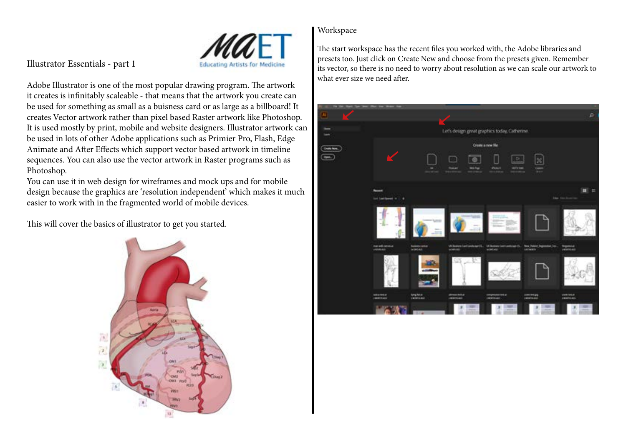

## Illustrator Essentials - part 1

Adobe Illustrator is one of the most popular drawing program. The artwork it creates is infinitably scaleable - that means that the artwork you create can be used for something as small as a buisness card or as large as a billboard! It creates Vector artwork rather than pixel based Raster artwork like Photoshop. It is used mostly by print, mobile and website designers. Illustrator artwork can be used in lots of other Adobe applications such as Primier Pro, Flash, Edge Animate and After Effects which support vector based artwork in timeline sequences. You can also use the vector artwork in Raster programs such as Photoshop.

You can use it in web design for wireframes and mock ups and for mobile design because the graphics are 'resolution independent' which makes it much easier to work with in the fragmented world of mobile devices.

This will cover the basics of illustrator to get you started.



### Workspace

The start workspace has the recent files you worked with, the Adobe libraries and presets too. Just click on Create New and choose from the presets given. Remember its vector, so there is no need to worry about resolution as we can scale our artwork to what ever size we need after

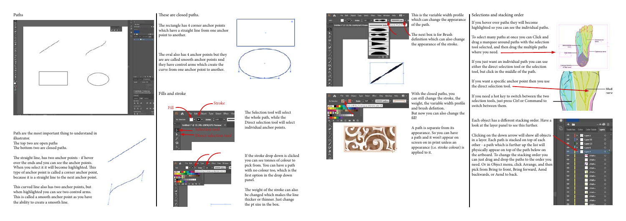The rectangle has 4 corner anchor points which have a straight line from one anchor point to another.

The oval also has 4 anchor points but they are are called smooth anchor points nnd they have control arms which create the curve from one anchor point to another.

This is the variable width profile which can change the appearance of the path.

The next box is for Brush definition which can also change the appearance of the stroke.

### Selections and stacking order



Path are the most important thing to understand in illustrator.

The top two are open paths The bottom two are closed paths.

The straight line, has two anchor points - if hover over the ends and you can see the anchor points. When you select it it will become highlighted. This type of anchor point is called a corner anchor point, because it is a straight line to the next anchor point.

This curved line also has two anchor points, but when highlighted you can see two control arms. This is called a smooth anchor point as you have the ability to create a smooth line.



# Paths These are closed paths.

To select many paths at once you can Click and drag a marquee around paths with the selection tool selected, and then drag the multiple paths where you need.  $\qquad \qquad$ 

Fills and stroke



**CONTRACTOR** 

*<u>PERSON</u>* 

**A CALL BAR** 



Each object has a different stacking order. Have a look at the layer panel to see this further.

If the stroke drop down is clicked you can see tonnes of colour to pick from. You can have a path with no colour too, which is the first option in the drop down panel.

The weight of the stroke can also be changed which makes the line thicker or thinner. Just change the pt size in the box.



This Object Type Select Hirst View Window Help 100 **EXTREMELT AND RESIDENTS OF STATISTICS HE REAL PROPERTY IN THE CONTRACT OF A SECOND CONTRACT OF A REAL PROPERTY.** ir net man and the second second second second second second second second second second second second second second second second second second second second second second second second second second second second second second  $-2$ 



With the closed paths, you can still change the stroke, the weight, the variable width profile and brush defintion. But now you can also change the fill!

A path is separate from its appearance. So you can have a path and it won't appear on screen on in print unless an appearance (i.e. stroke colour) is applied to it.

If you hover over paths they will become highlighted so you can see the individual paths.

If you just want an individual path you can use either the direct selection tool or the selection tool, but click in the middle of the path.

If you want a specific anchor point then you use the direct selection tool.

If you need a hot key to switch between the two selection tools, just press Ctrl or Command to switch between them.

Clicking on the down arrow will show all objects in a layer. Each path is stacked on top of each other - a path which is further up the list will physically appear on top of the path below on the artboard. To change the stacking order you can just drag and drop the paths to the order you need. Or in Object menu, click Arrange, and then pick from Bring to front, Bring forward, Aend backwards, or Aend to back.